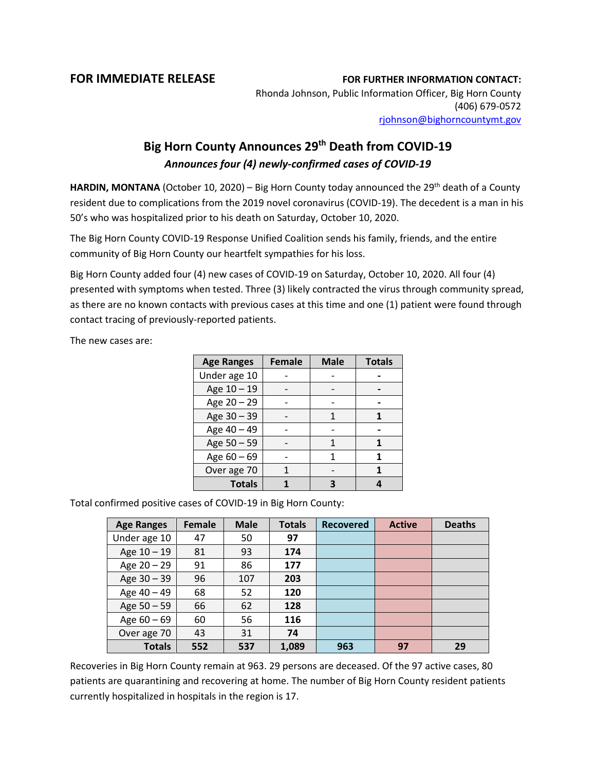## **FOR IMMEDIATE RELEASE FOR FURTHER INFORMATION CONTACT:**

Rhonda Johnson, Public Information Officer, Big Horn County (406) 679-0572 [rjohnson@bighorncountymt.gov](mailto:rjohnson@bighorncountymt.gov)

## **Big Horn County Announces 29th Death from COVID-19** *Announces four (4) newly-confirmed cases of COVID-19*

HARDIN, MONTANA (October 10, 2020) – Big Horn County today announced the 29<sup>th</sup> death of a County resident due to complications from the 2019 novel coronavirus (COVID-19). The decedent is a man in his 50's who was hospitalized prior to his death on Saturday, October 10, 2020.

The Big Horn County COVID-19 Response Unified Coalition sends his family, friends, and the entire community of Big Horn County our heartfelt sympathies for his loss.

Big Horn County added four (4) new cases of COVID-19 on Saturday, October 10, 2020. All four (4) presented with symptoms when tested. Three (3) likely contracted the virus through community spread, as there are no known contacts with previous cases at this time and one (1) patient were found through contact tracing of previously-reported patients.

The new cases are:

| <b>Age Ranges</b> | <b>Female</b> | <b>Male</b> | <b>Totals</b> |
|-------------------|---------------|-------------|---------------|
| Under age 10      |               |             |               |
| Age 10 - 19       |               |             |               |
| Age 20 - 29       |               |             |               |
| Age 30 - 39       |               |             |               |
| Age 40 - 49       |               |             |               |
| Age 50 - 59       |               | 1           |               |
| Age $60 - 69$     |               | 1           | 1             |
| Over age 70       |               |             |               |
| <b>Totals</b>     |               |             |               |

Total confirmed positive cases of COVID-19 in Big Horn County:

| <b>Age Ranges</b> | Female | <b>Male</b> | <b>Totals</b> | <b>Recovered</b> | <b>Active</b> | <b>Deaths</b> |
|-------------------|--------|-------------|---------------|------------------|---------------|---------------|
| Under age 10      | 47     | 50          | 97            |                  |               |               |
| Age 10 - 19       | 81     | 93          | 174           |                  |               |               |
| Age $20 - 29$     | 91     | 86          | 177           |                  |               |               |
| Age 30 - 39       | 96     | 107         | 203           |                  |               |               |
| Age 40 - 49       | 68     | 52          | 120           |                  |               |               |
| Age 50 - 59       | 66     | 62          | 128           |                  |               |               |
| Age $60 - 69$     | 60     | 56          | 116           |                  |               |               |
| Over age 70       | 43     | 31          | 74            |                  |               |               |
| <b>Totals</b>     | 552    | 537         | 1,089         | 963              | 97            | 29            |

Recoveries in Big Horn County remain at 963. 29 persons are deceased. Of the 97 active cases, 80 patients are quarantining and recovering at home. The number of Big Horn County resident patients currently hospitalized in hospitals in the region is 17.